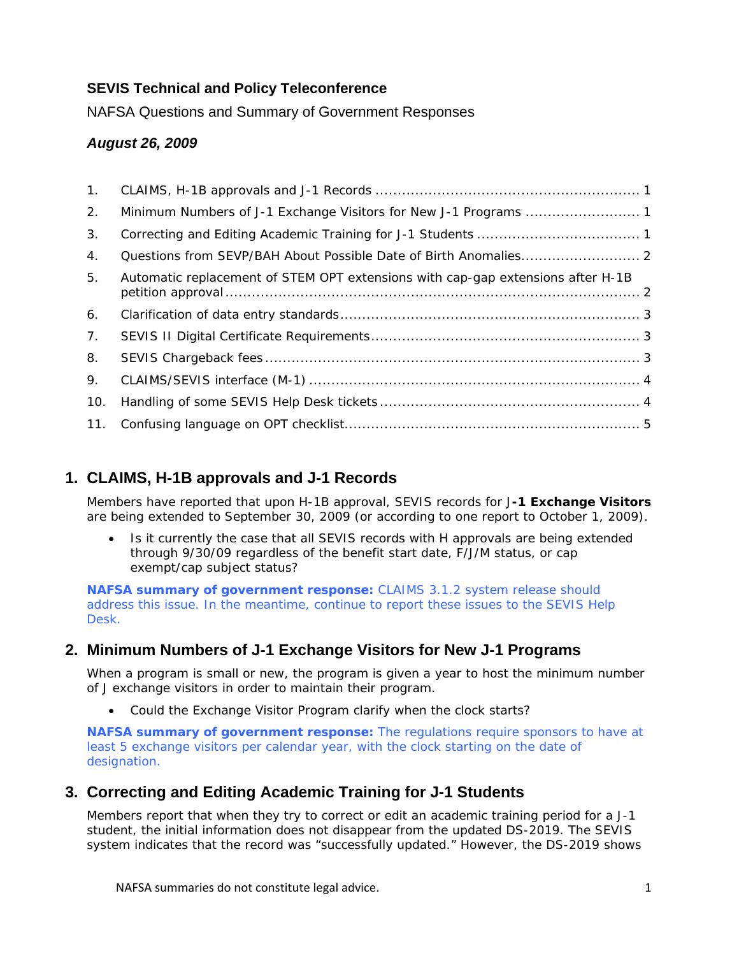## <span id="page-0-0"></span>**SEVIS Technical and Policy Teleconference**

NAFSA Questions and Summary of Government Responses

## *August 26, 2009*

| 1 <sub>1</sub> |                                                                                 |  |
|----------------|---------------------------------------------------------------------------------|--|
| 2.             |                                                                                 |  |
| 3.             |                                                                                 |  |
| 4.             |                                                                                 |  |
| 5.             | Automatic replacement of STEM OPT extensions with cap-gap extensions after H-1B |  |
| 6.             |                                                                                 |  |
| 7.             |                                                                                 |  |
| 8.             |                                                                                 |  |
| 9.             |                                                                                 |  |
| 10.            |                                                                                 |  |
| 11.            |                                                                                 |  |
|                |                                                                                 |  |

# **1. CLAIMS, H-1B approvals and J-1 Records**

Members have reported that upon H-1B approval, SEVIS records for J**-1 Exchange Visitors** are being extended to September 30, 2009 (or according to one report to October 1, 2009).

Is it currently the case that all SEVIS records with H approvals are being extended through 9/30/09 regardless of the benefit start date, F/J/M status, or cap exempt/cap subject status?

**NAFSA summary of government response:** CLAIMS 3.1.2 system release should address this issue. In the meantime, continue to report these issues to the SEVIS Help Desk.

## **2. Minimum Numbers of J-1 Exchange Visitors for New J-1 Programs**

When a program is small or new, the program is given a year to host the minimum number of J exchange visitors in order to maintain their program.

• Could the Exchange Visitor Program clarify when the clock starts?

**NAFSA summary of government response:** The regulations require sponsors to have at least 5 exchange visitors per calendar year, with the clock starting on the date of designation.

# **3. Correcting and Editing Academic Training for J-1 Students**

Members report that when they try to correct or edit an academic training period for a J-1 student, the initial information does not disappear from the updated DS-2019. The SEVIS system indicates that the record was "successfully updated." However, the DS-2019 shows

NAFSA summaries do not constitute legal advice. 1 and 1 and 1 and 1 and 1 and 1 and 1 and 1 and 1 and 1 and 1 and 1 and 1 and 1 and 1 and 1 and 1 and 1 and 1 and 1 and 1 and 1 and 1 and 1 and 1 and 1 and 1 and 1 and 1 and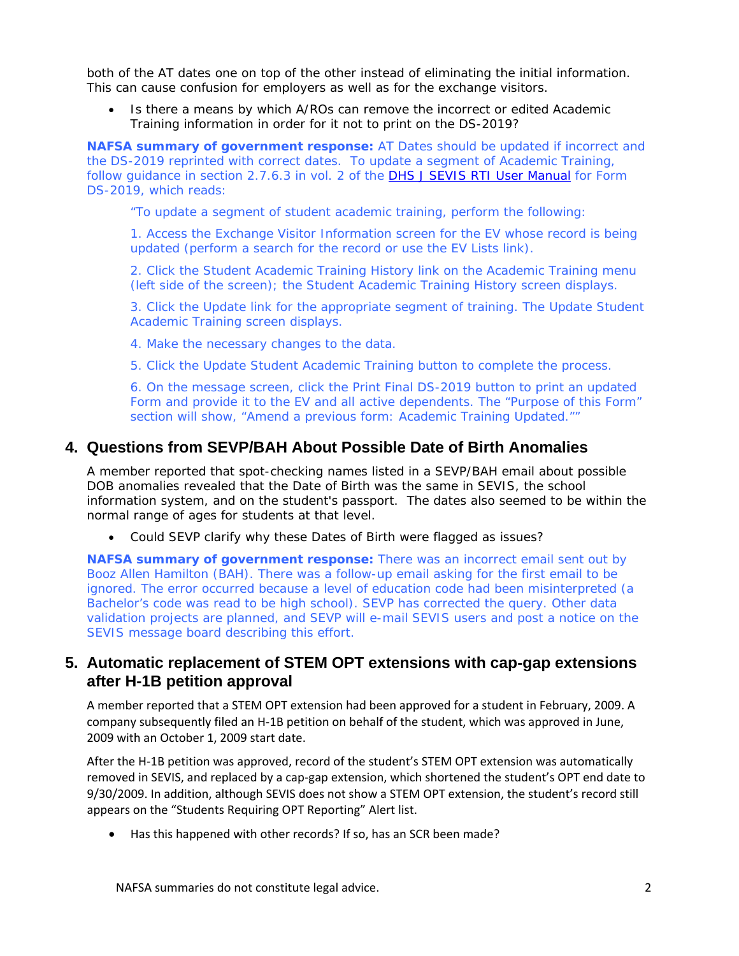<span id="page-1-0"></span>both of the AT dates one on top of the other instead of eliminating the initial information. This can cause confusion for employers as well as for the exchange visitors.

• Is there a means by which A/ROs can remove the incorrect or edited Academic Training information in order for it not to print on the DS-2019?

**NAFSA summary of government response:** AT Dates should be updated if incorrect and the DS-2019 reprinted with correct dates. To update a segment of Academic Training, follow guidance in section 2.7.6.3 in vol. 2 of the **[DHS J SEVIS RTI User Manual](http://www.nafsa.org/resourcelibrary/default.aspx?id=16166)** for Form DS-2019, which reads:

"To update a segment of student academic training, perform the following:

1. Access the Exchange Visitor Information screen for the EV whose record is being updated (perform a search for the record or use the EV Lists link).

2. Click the Student Academic Training History link on the Academic Training menu (left side of the screen); the Student Academic Training History screen displays.

3. Click the Update link for the appropriate segment of training. The Update Student Academic Training screen displays.

4. Make the necessary changes to the data.

5. Click the Update Student Academic Training button to complete the process.

6. On the message screen, click the Print Final DS-2019 button to print an updated Form and provide it to the EV and all active dependents. The "Purpose of this Form" section will show, "Amend a previous form: Academic Training Updated.""

### **4. Questions from SEVP/BAH About Possible Date of Birth Anomalies**

A member reported that spot-checking names listed in a SEVP/BAH email about possible DOB anomalies revealed that the Date of Birth was the same in SEVIS, the school information system, and on the student's passport. The dates also seemed to be within the normal range of ages for students at that level.

• Could SEVP clarify why these Dates of Birth were flagged as issues?

**NAFSA summary of government response:** There was an incorrect email sent out by Booz Allen Hamilton (BAH). There was a follow-up email asking for the first email to be ignored. The error occurred because a level of education code had been misinterpreted (a Bachelor's code was read to be high school). SEVP has corrected the query. Other data validation projects are planned, and SEVP will e-mail SEVIS users and post a notice on the SEVIS message board describing this effort.

#### **5. Automatic replacement of STEM OPT extensions with cap-gap extensions after H-1B petition approval**

A member reported that a STEM OPT extension had been approved for a student in February, 2009. A company subsequently filed an H‐1B petition on behalf of the student, which was approved in June, 2009 with an October 1, 2009 start date.

After the H‐1B petition was approved, record of the student's STEM OPT extension was automatically removed in SEVIS, and replaced by a cap‐gap extension, which shortened the student's OPT end date to 9/30/2009. In addition, although SEVIS does not show a STEM OPT extension, the student's record still appears on the "Students Requiring OPT Reporting" Alert list.

• Has this happened with other records? If so, has an SCR been made?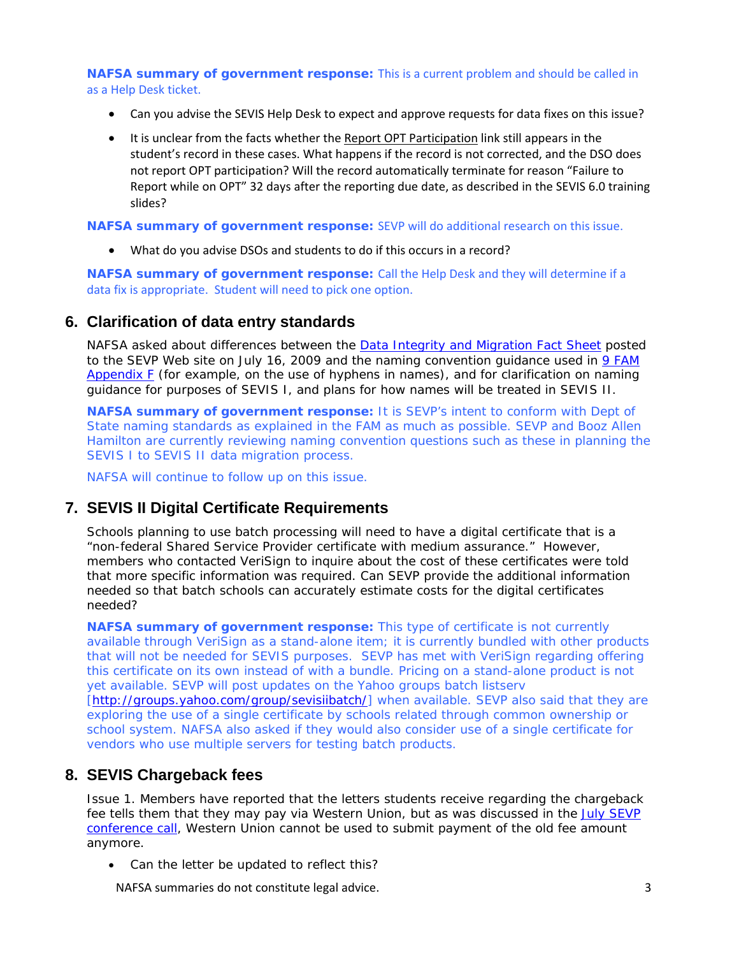#### <span id="page-2-0"></span>**NAFSA summary of government response:** This is a current problem and should be called in as a Help Desk ticket.

- Can you advise the SEVIS Help Desk to expect and approve requests for data fixes on this issue?
- It is unclear from the facts whether the Report OPT Participation link still appears in the student's record in these cases. What happens if the record is not corrected, and the DSO does not report OPT participation? Will the record automatically terminate for reason "Failure to Report while on OPT" 32 days after the reporting due date, as described in the SEVIS 6.0 training slides?

**NAFSA summary of government response:** SEVP will do additional research on this issue.

• What do you advise DSOs and students to do if this occurs in a record?

**NAFSA summary of government response:** Call the Help Desk and they will determine if a data fix is appropriate. Student will need to pick one option.

#### **6. Clarification of data entry standards**

NAFSA asked about differences between the **Data Integrity and Migration Fact Sheet** posted to the SEVP Web site on July 16, 2009 and the naming convention guidance used in 9 FAM [Appendix F](http://www.state.gov/documents/organization/87981.pdf) (for example, on the use of hyphens in names), and for clarification on naming guidance for purposes of SEVIS I, and plans for how names will be treated in SEVIS II.

**NAFSA summary of government response:** It is SEVP's intent to conform with Dept of State naming standards as explained in the FAM as much as possible. SEVP and Booz Allen Hamilton are currently reviewing naming convention questions such as these in planning the SEVIS I to SEVIS II data migration process.

NAFSA will continue to follow up on this issue.

#### **7. SEVIS II Digital Certificate Requirements**

Schools planning to use batch processing will need to have a digital certificate that is a "non-federal Shared Service Provider certificate with medium assurance." However, members who contacted VeriSign to inquire about the cost of these certificates were told that more specific information was required. Can SEVP provide the additional information needed so that batch schools can accurately estimate costs for the digital certificates needed?

**NAFSA summary of government response:** This type of certificate is not currently available through VeriSign as a stand-alone item; it is currently bundled with other products that will not be needed for SEVIS purposes. SEVP has met with VeriSign regarding offering this certificate on its own instead of with a bundle. Pricing on a stand-alone product is not yet available. SEVP will post updates on the Yahoo groups batch listserv [[http://groups.yahoo.com/group/sevisiibatch/\]](http://groups.yahoo.com/group/sevisiibatch/) when available. SEVP also said that they are exploring the use of a single certificate by schools related through common ownership or school system. NAFSA also asked if they would also consider use of a single certificate for vendors who use multiple servers for testing batch products.

#### **8. SEVIS Chargeback fees**

Issue 1. Members have reported that the letters students receive regarding the chargeback fee tells them that they may pay via Western Union, but as was discussed in the July SEVP [conference call,](http://nafsa.org/uploadedFiles/seviscall20090722.pdf?n=9805) Western Union cannot be used to submit payment of the old fee amount anymore.

• Can the letter be updated to reflect this?

NAFSA summaries do not constitute legal advice. **3** and  $\overline{3}$  3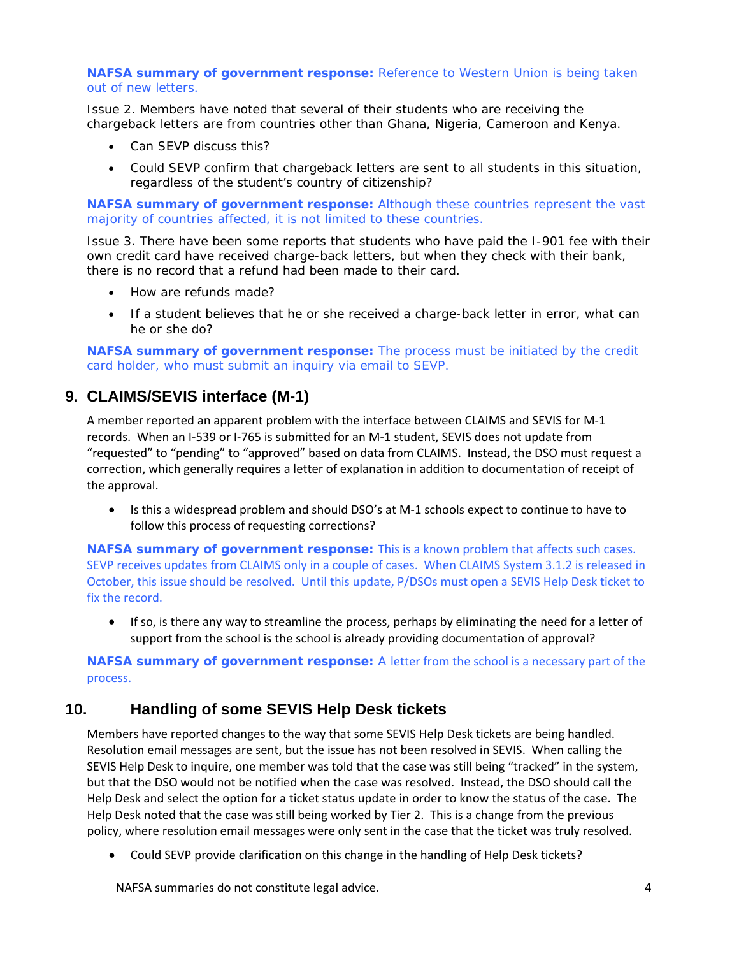#### <span id="page-3-0"></span>**NAFSA summary of government response:** Reference to Western Union is being taken out of new letters.

Issue 2. Members have noted that several of their students who are receiving the chargeback letters are from countries other than Ghana, Nigeria, Cameroon and Kenya.

- Can SEVP discuss this?
- Could SEVP confirm that chargeback letters are sent to all students in this situation, regardless of the student's country of citizenship?

**NAFSA summary of government response:** Although these countries represent the vast majority of countries affected, it is not limited to these countries.

Issue 3. There have been some reports that students who have paid the I-901 fee with their own credit card have received charge-back letters, but when they check with their bank, there is no record that a refund had been made to their card.

- How are refunds made?
- If a student believes that he or she received a charge-back letter in error, what can he or she do?

**NAFSA summary of government response:** The process must be initiated by the credit card holder, who must submit an inquiry via email to SEVP.

## **9. CLAIMS/SEVIS interface (M-1)**

A member reported an apparent problem with the interface between CLAIMS and SEVIS for M‐1 records. When an I‐539 or I‐765 is submitted for an M‐1 student, SEVIS does not update from "requested" to "pending" to "approved" based on data from CLAIMS. Instead, the DSO must request a correction, which generally requires a letter of explanation in addition to documentation of receipt of the approval.

• Is this a widespread problem and should DSO's at M-1 schools expect to continue to have to follow this process of requesting corrections?

**NAFSA summary of government response:** This is a known problem that affects such cases. SEVP receives updates from CLAIMS only in a couple of cases. When CLAIMS System 3.1.2 is released in October, this issue should be resolved. Until this update, P/DSOs must open a SEVIS Help Desk ticket to fix the record.

• If so, is there any way to streamline the process, perhaps by eliminating the need for a letter of support from the school is the school is already providing documentation of approval?

**NAFSA summary of government response:** A letter from the school is a necessary part of the process.

### **10. Handling of some SEVIS Help Desk tickets**

Members have reported changes to the way that some SEVIS Help Desk tickets are being handled. Resolution email messages are sent, but the issue has not been resolved in SEVIS. When calling the SEVIS Help Desk to inquire, one member was told that the case was still being "tracked" in the system, but that the DSO would not be notified when the case was resolved. Instead, the DSO should call the Help Desk and select the option for a ticket status update in order to know the status of the case. The Help Desk noted that the case was still being worked by Tier 2. This is a change from the previous policy, where resolution email messages were only sent in the case that the ticket was truly resolved.

• Could SEVP provide clarification on this change in the handling of Help Desk tickets?

NAFSA summaries do not constitute legal advice. 4